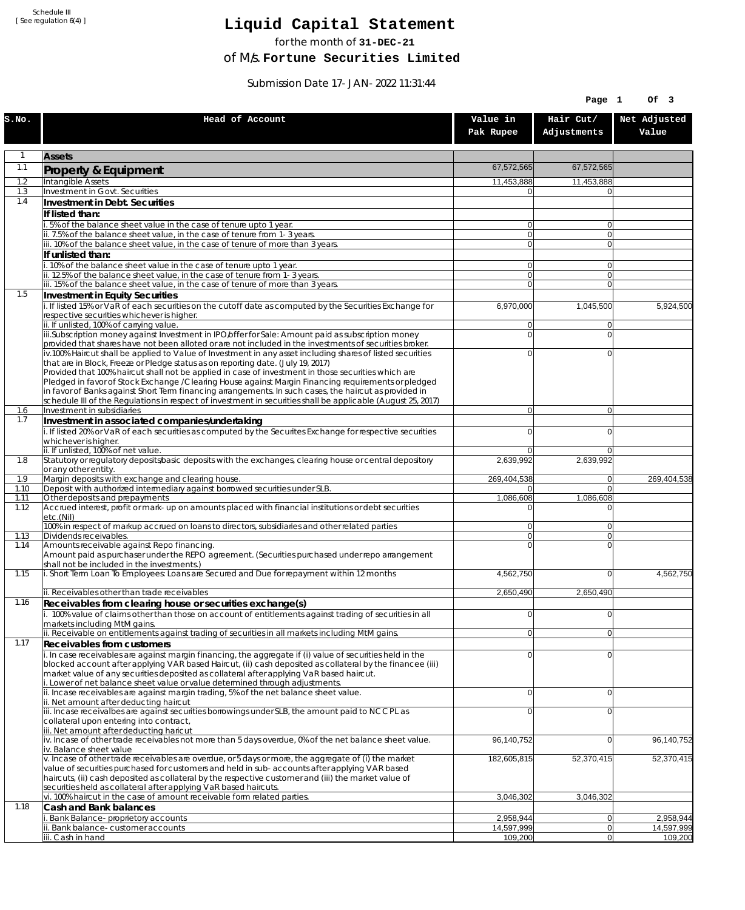Schedule III [ See regulation 6(4) ]

## **Liquid Capital Statement**

for the month of **31-DEC-21**

of M/s. **Fortune Securities Limited**

Submission Date 17-JAN-2022 11:31:44

|              |                                                                                                                                                                                                                        |                         | Page 1                   | Of 3                    |
|--------------|------------------------------------------------------------------------------------------------------------------------------------------------------------------------------------------------------------------------|-------------------------|--------------------------|-------------------------|
| S.NO.        | Head of Account                                                                                                                                                                                                        | Value in<br>Pak Rupee   | Hair Cut/<br>Adjustments | Net Adjusted<br>Value   |
| $\mathbf{1}$ | <b>Assets</b>                                                                                                                                                                                                          |                         |                          |                         |
| 1.1          | Property & Equipment                                                                                                                                                                                                   | 67,572,565              | 67,572,565               |                         |
| 1.2          | Intangible Assets                                                                                                                                                                                                      | 11,453,888              | 11,453,888               |                         |
| 1.3<br>1.4   | Investment in Govt. Securities                                                                                                                                                                                         | ΩI                      |                          |                         |
|              | Investment in Debt. Securities<br>If listed than:                                                                                                                                                                      |                         |                          |                         |
|              | i. 5% of the balance sheet value in the case of tenure upto 1 year.                                                                                                                                                    | $\overline{0}$          | $\overline{0}$           |                         |
|              | ii. 7.5% of the balance sheet value, in the case of tenure from 1-3 years.                                                                                                                                             | $\overline{0}$          | $\overline{0}$           |                         |
|              | iii. 10% of the balance sheet value, in the case of tenure of more than 3 years.<br>If unlisted than:                                                                                                                  | $\overline{0}$          | $\overline{0}$           |                         |
|              | i. 10% of the balance sheet value in the case of tenure upto 1 year.                                                                                                                                                   | 0                       | $\Omega$                 |                         |
|              | ii. 12.5% of the balance sheet value, in the case of tenure from 1-3 years.                                                                                                                                            | $\overline{0}$          | $\overline{0}$           |                         |
| 1.5          | iii. 15% of the balance sheet value, in the case of tenure of more than 3 years.<br>Investment in Equity Securities                                                                                                    | $\overline{0}$          | $\Omega$                 |                         |
|              | i. If listed 15% or VaR of each securities on the cutoff date as computed by the Securities Exchange for                                                                                                               | 6,970,000               | 1,045,500                | 5,924,500               |
|              | respective securities whichever is higher.                                                                                                                                                                             |                         |                          |                         |
|              | ii. If unlisted, 100% of carrying value.<br>iii.Subscription money against Investment in IPO/offer for Sale: Amount paid as subscription money                                                                         | 0<br>0                  | $\Omega$<br>$\Omega$     |                         |
|              | provided that shares have not been alloted or are not included in the investments of securities broker.                                                                                                                |                         |                          |                         |
|              | iv.100% Haircut shall be applied to Value of Investment in any asset including shares of listed securities                                                                                                             | 0                       | $\Omega$                 |                         |
|              | that are in Block, Freeze or Pledge status as on reporting date. (July 19, 2017)<br>Provided that 100% haircut shall not be applied in case of investment in those securities which are                                |                         |                          |                         |
|              | Pledged in favor of Stock Exchange / Clearing House against Margin Financing requirements or pledged                                                                                                                   |                         |                          |                         |
|              | in favor of Banks against Short Term financing arrangements. In such cases, the haircut as provided in<br>schedule III of the Regulations in respect of investment in securities shall be applicable (August 25, 2017) |                         |                          |                         |
| 1.6          | Investment in subsidiaries                                                                                                                                                                                             | $\overline{0}$          | $\overline{0}$           |                         |
| 1.7          | Investment in associated companies/undertaking                                                                                                                                                                         |                         |                          |                         |
|              | i. If listed 20% or VaR of each securities as computed by the Securites Exchange for respective securities<br>whichever is higher.                                                                                     | 0                       | $\Omega$                 |                         |
|              | ii. If unlisted, 100% of net value.                                                                                                                                                                                    | 0                       | $\Omega$                 |                         |
| 1.8          | Statutory or regulatory deposits/basic deposits with the exchanges, clearing house or central depository                                                                                                               | 2,639,992               | 2,639,992                |                         |
| 1.9          | or any other entity.<br>Margin deposits with exchange and clearing house.                                                                                                                                              | 269,404,538             | 0                        | 269,404,538             |
| 1.10         | Deposit with authorized intermediary against borrowed securities under SLB.                                                                                                                                            | 01                      | $\overline{0}$           |                         |
| 1.11<br>1.12 | Other deposits and prepayments<br>Accrued interest, profit or mark-up on amounts placed with financial institutions or debt securities                                                                                 | 1,086,608<br>0          | 1,086,608<br>$\Omega$    |                         |
|              | etc.(Nil)                                                                                                                                                                                                              |                         |                          |                         |
| 1.13         | 100% in respect of markup accrued on loans to directors, subsidiaries and other related parties<br>Dividends receivables.                                                                                              | 0<br>$\overline{0}$     | $\Omega$<br>$\Omega$     |                         |
| 1.14         | Amounts receivable against Repo financing.                                                                                                                                                                             | $\mathbf 0$             | $\Omega$                 |                         |
|              | Amount paid as purchaser under the REPO agreement. (Securities purchased under repo arrangement                                                                                                                        |                         |                          |                         |
| 1.15         | shall not be included in the investments.)<br>i. Short Term Loan To Employees: Loans are Secured and Due for repayment within 12 months                                                                                | 4,562,750               | $\overline{0}$           | 4,562,750               |
|              |                                                                                                                                                                                                                        |                         |                          |                         |
| 1.16         | ii. Receivables other than trade receivables                                                                                                                                                                           | 2,650,490               | 2,650,490                |                         |
|              | Receivables from clearing house or securities exchange(s)<br>i. 100% value of claims other than those on account of entitlements against trading of securities in all                                                  | 0                       | 0                        |                         |
|              | markets including MtM gains.                                                                                                                                                                                           |                         |                          |                         |
|              | ii. Receivable on entitlements against trading of securities in all markets including MtM gains.                                                                                                                       | $\overline{0}$          | 0                        |                         |
| 1.17         | <b>Receivables from customers</b><br>i. In case receivables are against margin financing, the aggregate if (i) value of securities held in the                                                                         | $\mathbf 0$             | $\Omega$                 |                         |
|              | blocked account after applying VAR based Haircut, (ii) cash deposited as collateral by the financee (iii)                                                                                                              |                         |                          |                         |
|              | market value of any securities deposited as collateral after applying VaR based haircut.                                                                                                                               |                         |                          |                         |
|              | i. Lower of net balance sheet value or value determined through adjustments.<br>ii. Incase receivables are against margin trading, 5% of the net balance sheet value.                                                  | $\mathbf 0$             | $\overline{0}$           |                         |
|              | ii. Net amount after deducting haircut                                                                                                                                                                                 |                         |                          |                         |
|              | iii. Incase receivalbes are against securities borrowings under SLB, the amount paid to NCCPL as<br>collateral upon entering into contract,                                                                            | 0                       | $\Omega$                 |                         |
|              | iii. Net amount after deducting haricut                                                                                                                                                                                |                         |                          |                         |
|              | $iv.$ Incase of other trade receivables not more than 5 days overdue, 0% of the net balance sheet value.                                                                                                               | 96,140,752              | $\overline{0}$           | 96,140,752              |
|              | iv. Balance sheet value<br>v. Incase of other trade receivables are overdue, or 5 days or more, the aggregate of (i) the market                                                                                        | 182,605,815             | 52,370,415               | 52,370,415              |
|              | value of securities purchased for customers and held in sub-accounts after applying VAR based                                                                                                                          |                         |                          |                         |
|              | haircuts, (ii) cash deposited as collateral by the respective customer and (iii) the market value of<br>securities held as collateral after applying VaR based haircuts.                                               |                         |                          |                         |
|              | vi. 100% haircut in the case of amount receivable form related parties.                                                                                                                                                | 3,046,302               | 3,046,302                |                         |
| 1.18         | Cash and Bank balances                                                                                                                                                                                                 |                         |                          |                         |
|              | i. Bank Balance-proprietory accounts<br>ii. Bank balance-customer accounts                                                                                                                                             | 2,958,944<br>14,597,999 | 0 <br> 0                 | 2,958,944<br>14,597,999 |
|              | iii. Cash in hand                                                                                                                                                                                                      | 109,200                 | 0                        | 109,200                 |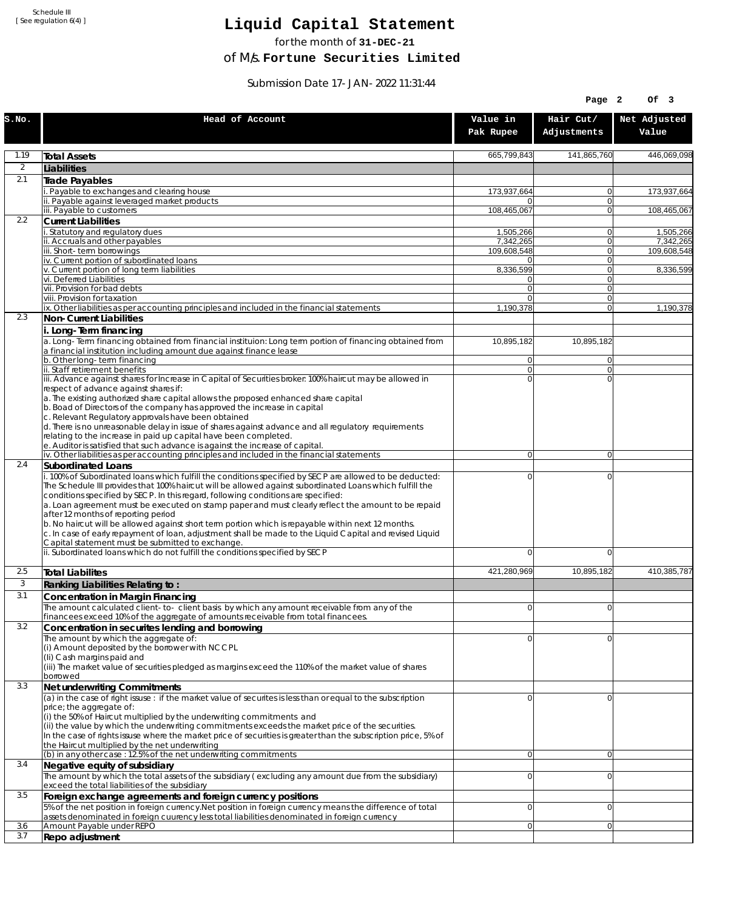Schedule III [ See regulation 6(4) ]

## **Liquid Capital Statement**

for the month of **31-DEC-21**

of M/s. **Fortune Securities Limited**

Submission Date 17-JAN-2022 11:31:44

|              |                                                                                                                                                                                                                                                                                                                                                                                                                                                                                                                                                                                                                                                                                                                                                                                                             |                          | Page 2                     | Of 3                     |
|--------------|-------------------------------------------------------------------------------------------------------------------------------------------------------------------------------------------------------------------------------------------------------------------------------------------------------------------------------------------------------------------------------------------------------------------------------------------------------------------------------------------------------------------------------------------------------------------------------------------------------------------------------------------------------------------------------------------------------------------------------------------------------------------------------------------------------------|--------------------------|----------------------------|--------------------------|
| S.NO.        | Head of Account                                                                                                                                                                                                                                                                                                                                                                                                                                                                                                                                                                                                                                                                                                                                                                                             | Value in<br>Pak Rupee    | Hair Cut/<br>Adjustments   | Net Adjusted<br>Value    |
| 1.19         | <b>Total Assets</b>                                                                                                                                                                                                                                                                                                                                                                                                                                                                                                                                                                                                                                                                                                                                                                                         | 665,799,843              | 141,865,760                | 446,069,098              |
| 2            | Liabilities                                                                                                                                                                                                                                                                                                                                                                                                                                                                                                                                                                                                                                                                                                                                                                                                 |                          |                            |                          |
| 2.1          | Trade Payables                                                                                                                                                                                                                                                                                                                                                                                                                                                                                                                                                                                                                                                                                                                                                                                              |                          |                            |                          |
|              | Payable to exchanges and clearing house                                                                                                                                                                                                                                                                                                                                                                                                                                                                                                                                                                                                                                                                                                                                                                     | 173,937,664              | $\overline{0}$             | 173,937,664              |
|              | ii. Payable against leveraged market products<br>iii. Payable to customers                                                                                                                                                                                                                                                                                                                                                                                                                                                                                                                                                                                                                                                                                                                                  | 0<br>108,465,067         | $\Omega$<br>$\Omega$       | 108,465,067              |
| 2.2          | <b>Current Liabilities</b>                                                                                                                                                                                                                                                                                                                                                                                                                                                                                                                                                                                                                                                                                                                                                                                  |                          |                            |                          |
|              | . Statutory and regulatory dues                                                                                                                                                                                                                                                                                                                                                                                                                                                                                                                                                                                                                                                                                                                                                                             | 1,505,266                | $\overline{0}$             | 1,505,266                |
|              | ii. Accruals and other payables<br>iii. Short-term borrowings                                                                                                                                                                                                                                                                                                                                                                                                                                                                                                                                                                                                                                                                                                                                               | 7,342,265<br>109,608,548 | $\Omega$<br> 0             | 7,342,265<br>109,608,548 |
|              | iv. Current portion of subordinated loans                                                                                                                                                                                                                                                                                                                                                                                                                                                                                                                                                                                                                                                                                                                                                                   | 0                        | $\Omega$                   |                          |
|              | v. Current portion of long term liabilities                                                                                                                                                                                                                                                                                                                                                                                                                                                                                                                                                                                                                                                                                                                                                                 | 8,336,599                | $\Omega$                   | 8,336,599                |
|              | vi. Deferred Liabilities<br>vii. Provision for bad debts                                                                                                                                                                                                                                                                                                                                                                                                                                                                                                                                                                                                                                                                                                                                                    | 0<br>$\overline{0}$      | 0 <br>$\Omega$             |                          |
|              | viii. Provision for taxation                                                                                                                                                                                                                                                                                                                                                                                                                                                                                                                                                                                                                                                                                                                                                                                | $\Omega$                 | $\Omega$                   |                          |
|              | ix. Other liabilities as per accounting principles and included in the financial statements                                                                                                                                                                                                                                                                                                                                                                                                                                                                                                                                                                                                                                                                                                                 | 1,190,378                | $\Omega$                   | 1,190,378                |
| 2.3          | Non-Current Liabilities                                                                                                                                                                                                                                                                                                                                                                                                                                                                                                                                                                                                                                                                                                                                                                                     |                          |                            |                          |
|              | i. Long-Term financing<br>a. Long-Term financing obtained from financial instituion: Long term portion of financing obtained from<br>a financial institution including amount due against finance lease                                                                                                                                                                                                                                                                                                                                                                                                                                                                                                                                                                                                     | 10,895,182               | 10,895,182                 |                          |
|              | b. Other long-term financing<br>ii. Staff retirement benefits                                                                                                                                                                                                                                                                                                                                                                                                                                                                                                                                                                                                                                                                                                                                               | 0<br>$\overline{0}$      | $\Omega$<br>$\Omega$       |                          |
|              | iii. Advance against shares for Increase in Capital of Securities broker: 100% haircut may be allowed in                                                                                                                                                                                                                                                                                                                                                                                                                                                                                                                                                                                                                                                                                                    | 0                        | $\Omega$                   |                          |
|              | respect of advance against shares if:<br>a. The existing authorized share capital allows the proposed enhanced share capital<br>b. Boad of Directors of the company has approved the increase in capital<br>c. Relevant Regulatory approvals have been obtained<br>d. There is no unreasonable delay in issue of shares against advance and all regulatory requirements<br>relating to the increase in paid up capital have been completed.<br>e. Auditor is satisfied that such advance is against the increase of capital.                                                                                                                                                                                                                                                                                |                          |                            |                          |
|              | iv. Other liabilities as per accounting principles and included in the financial statements                                                                                                                                                                                                                                                                                                                                                                                                                                                                                                                                                                                                                                                                                                                 | $\overline{0}$           | $\overline{0}$             |                          |
| 2.4          | Subordinated Loans                                                                                                                                                                                                                                                                                                                                                                                                                                                                                                                                                                                                                                                                                                                                                                                          |                          |                            |                          |
|              | . 100% of Subordinated loans which fulfill the conditions specified by SECP are allowed to be deducted:<br>The Schedule III provides that 100% haircut will be allowed against subordinated Loans which fulfill the<br>conditions specified by SECP. In this regard, following conditions are specified:<br>a. Loan agreement must be executed on stamp paper and must clearly reflect the amount to be repaid<br>after 12 months of reporting period<br>b. No haircut will be allowed against short term portion which is repayable within next 12 months.<br>c. In case of early repayment of loan, adjustment shall be made to the Liquid Capital and revised Liquid<br>Capital statement must be submitted to exchange.<br>ii. Subordinated loans which do not fulfill the conditions specified by SECP | 0<br>0                   | $\mathbf 0$<br>$\mathbf 0$ |                          |
|              |                                                                                                                                                                                                                                                                                                                                                                                                                                                                                                                                                                                                                                                                                                                                                                                                             |                          |                            |                          |
| 2.5          | <b>Total Liabilites</b>                                                                                                                                                                                                                                                                                                                                                                                                                                                                                                                                                                                                                                                                                                                                                                                     | 421,280,969              | 10.895.182                 | 410,385,787              |
| $\mathbf{3}$ | Ranking Liabilities Relating to:                                                                                                                                                                                                                                                                                                                                                                                                                                                                                                                                                                                                                                                                                                                                                                            |                          |                            |                          |
| 3.1          | Concentration in Margin Financing                                                                                                                                                                                                                                                                                                                                                                                                                                                                                                                                                                                                                                                                                                                                                                           | $\Omega$                 | $\Omega$                   |                          |
|              | The amount calculated client-to- client basis by which any amount receivable from any of the<br>financees exceed 10% of the aggregate of amounts receivable from total financees.                                                                                                                                                                                                                                                                                                                                                                                                                                                                                                                                                                                                                           |                          |                            |                          |
| 3.2          | Concentration in securites lending and borrowing                                                                                                                                                                                                                                                                                                                                                                                                                                                                                                                                                                                                                                                                                                                                                            |                          |                            |                          |
|              | The amount by which the aggregate of:<br>(i) Amount deposited by the borrower with NCCPL<br>(Ii) Cash margins paid and<br>(iii) The market value of securities pledged as margins exceed the 110% of the market value of shares<br>borrowed                                                                                                                                                                                                                                                                                                                                                                                                                                                                                                                                                                 | 0                        | $\Omega$                   |                          |
| 3.3          | Net underwriting Commitments                                                                                                                                                                                                                                                                                                                                                                                                                                                                                                                                                                                                                                                                                                                                                                                |                          |                            |                          |
|              | (a) in the case of right issuse : if the market value of securites is less than or equal to the subscription<br>price; the aggregate of:<br>(i) the 50% of Haircut multiplied by the underwriting commitments and<br>(ii) the value by which the underwriting commitments exceeds the market price of the securities.<br>In the case of rights issuse where the market price of securities is greater than the subscription price, 5% of<br>the Haircut multiplied by the net underwriting                                                                                                                                                                                                                                                                                                                  | 0                        | $\Omega$                   |                          |
| 3.4          | (b) in any other case : 12.5% of the net underwriting commitments<br>Negative equity of subsidiary                                                                                                                                                                                                                                                                                                                                                                                                                                                                                                                                                                                                                                                                                                          | $\overline{0}$           | $\overline{0}$             |                          |
|              | The amount by which the total assets of the subsidiary (excluding any amount due from the subsidiary)<br>exceed the total liabilities of the subsidiary                                                                                                                                                                                                                                                                                                                                                                                                                                                                                                                                                                                                                                                     | 0                        | $\Omega$                   |                          |
| 3.5          | Foreign exchange agreements and foreign currency positions                                                                                                                                                                                                                                                                                                                                                                                                                                                                                                                                                                                                                                                                                                                                                  |                          |                            |                          |
|              | 5% of the net position in foreign currency. Net position in foreign currency means the difference of total<br>assets denominated in foreign cuurency less total liabilities denominated in foreign currency                                                                                                                                                                                                                                                                                                                                                                                                                                                                                                                                                                                                 | 0                        | $\mathbf 0$                |                          |
| 3.6          | Amount Payable under REPO                                                                                                                                                                                                                                                                                                                                                                                                                                                                                                                                                                                                                                                                                                                                                                                   | 0                        | $\Omega$                   |                          |
| 3.7          | Repo adjustment                                                                                                                                                                                                                                                                                                                                                                                                                                                                                                                                                                                                                                                                                                                                                                                             |                          |                            |                          |